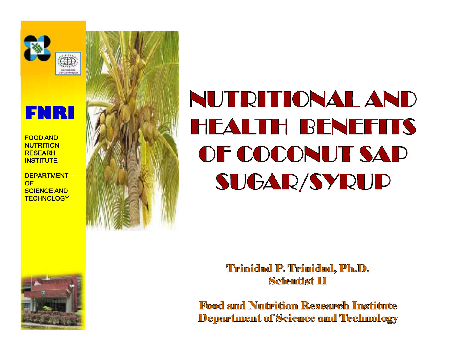



**DEPARTMENT DEPARTMENT OF SCIENCE AND AND TECHNOLOGY TECHNOLOGY**



# **NUTRITIONAL AND HEALTH BENEFITS OF COCONUT SAP SUGAR/SYRUP**

**Trinidad P. Trinidad, Ph.D. Scientist II**

**Food and Nutrition Research Institute Department of Science and Technology**

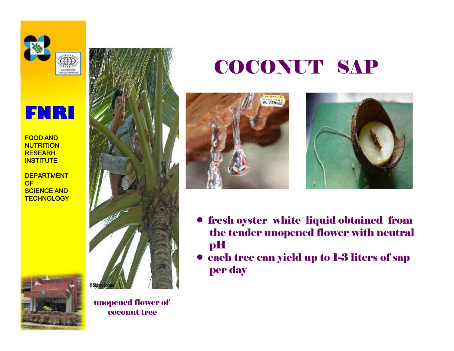



**DEPARTMENT DEPARTMENT OF SCIENCE AND AND TECHNOLOGY TECHNOLOGY**



unopened flower of coconut tree

# COCONUT SAP





- fresh oyster white liquid obtained from the tender unopened flower with neutral pH
- each tree can yield up to 1-3 liters of sap per day

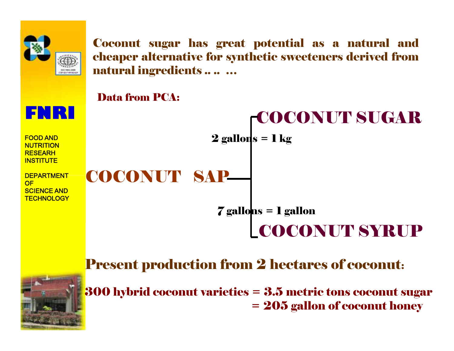

Coconut sugar has great potential as a natural and cheaper alternative for synthetic sweeteners derived from natural ingredients .. .. …



#### Present production from 2 hectares of coconut:



300 hybrid coconut varieties = 3.5 metric tons coconut sugar = 205 gallon of coconut honey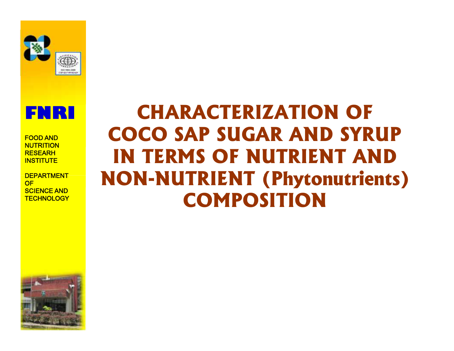



**DEPARTMENT DEPARTMENT OF SCIENCE AND AND TECHNOLOGY TECHNOLOGY**

## **CHARACTERIZATION OF CHARACTERIZATION OF<br>
COCO SAP SUGAR AND SYRUP IN TERMS OF NUTRIENT AND NON-NUTRIENT (Phytonutrients) COMPOSITION**

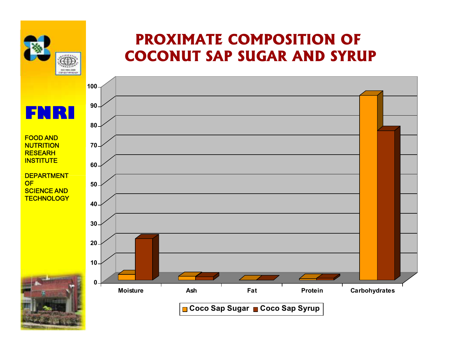

### **PROXIMATE COMPOSITION OF COCONUT SAP SUGAR AND SYRUP**

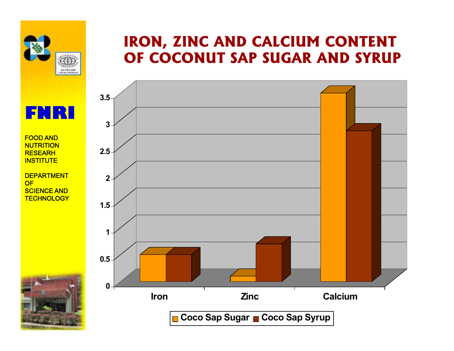

### **IRON, ZINC AND CALCIUM CONTENT OF COCONUT SAP SUGAR AND SYRUP**



**FNRI**

**FOOD AND NUTRITION RESEARH INSTITUTE**

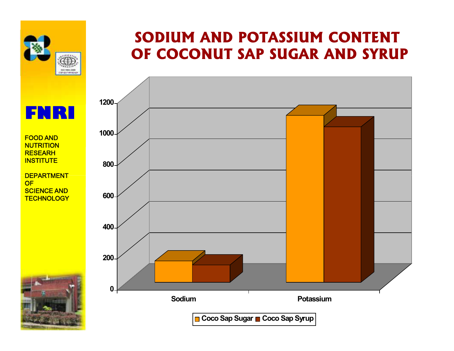

**FOOD AND NUTRITION RESEARH INSTITUTE**

**DEPARTMENT DEPARTMENT**

**SCIENCE AND AND TECHNOLOGY TECHNOLOGY**

**OF**

#### **SODIUM AND POTASSIUM CONTENT OF COCONUT SAP SUGAR AND SYRUP**

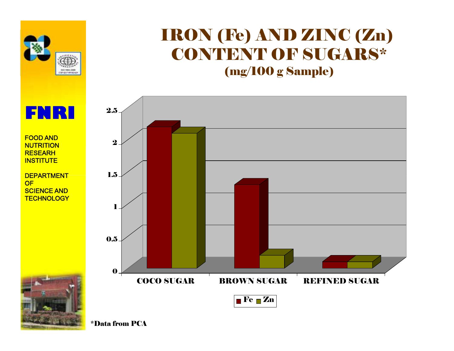

### IRON (Fe) AND ZINC (Zn) CONTENT OF SUGARS\* (mg/100 g Sample)



**FNRI FOOD AND**

#### **NUTRITION RESEARH INSTITUTE**

**DEPARTMENT DEPARTMENT OF SCIENCE AND AND TECHNOLOGY TECHNOLOGY**



\*Data from PCA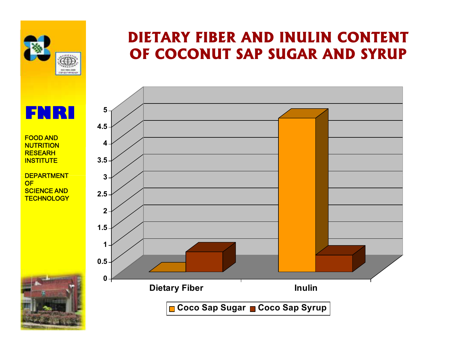

#### **FOOD AND NUTRITION RESEARH INSTITUTE**

**DEPARTMENT DEPARTMENT OF SCIENCE AND AND TECHNOLOGY TECHNOLOGY**



### **DIETARY FIBER AND INULIN CONTENT OF COCONUT SAP SUGAR AND SYRUP**

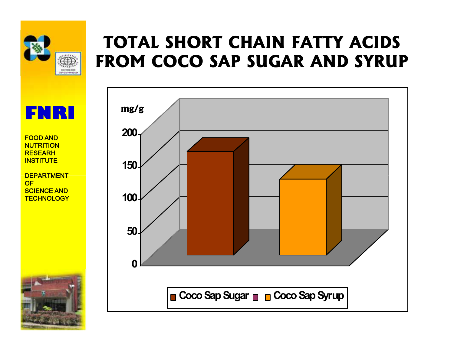

**DEPARTMENT DEPARTMENT**

**SCIENCE AND AND TECHNOLOGY TECHNOLOGY**

**OF**

### **TOTAL SHORT CHAIN FATTY ACIDS FROM COCO SAP SUGAR AND SYRUP**

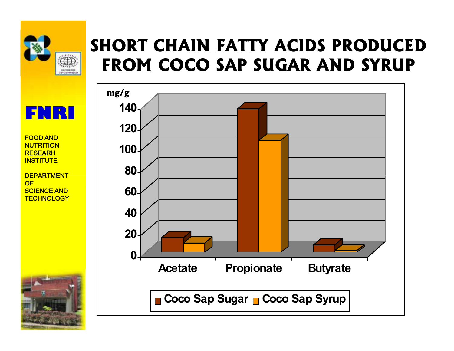

**OF**

### **SHORT CHAIN FATTY ACIDS PRODUCED FROM COCO SAP SUGAR AND SYRUP**

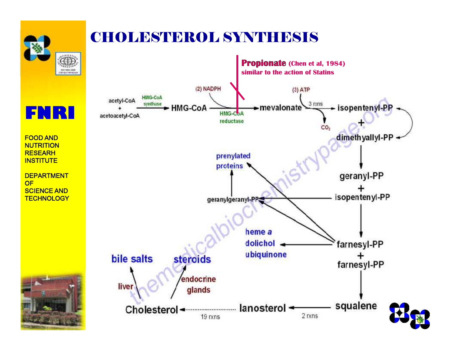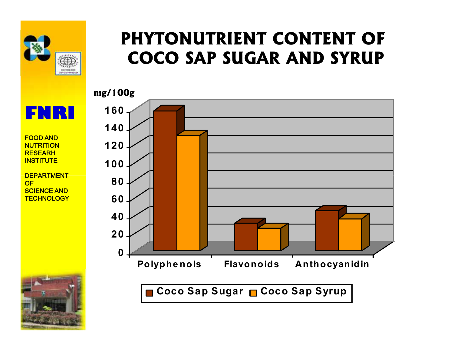

### **PHYTONUTRIENT CONTENT OF COCO SAP SUGAR AND SYRUP**



**FOOD AND NUTRITION RESEARH INSTITUTE**

**FNRI**

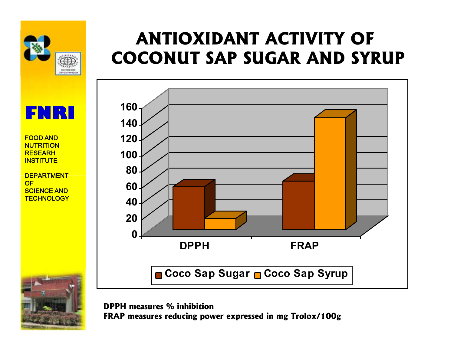

**FOOD AND NUTRITION RESEARH INSTITUTE**

**DEPARTMENT DEPARTMENT OF SCIENCE AND AND TECHNOLOGY TECHNOLOGY**



### **ANTIOXIDANT ACTIVITY OF COCONUT SAP SUGAR AND SYRUP**



**DPPH measures % inhibition FRAP measures reducing power expressed in mg Trolox/100g**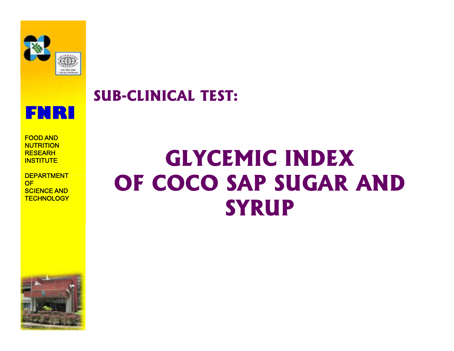

#### **SUB-CLINICAL TEST:**



**FOOD AND NUTRITION RESEARH INSTITUTE**

**DEPARTMENT DEPARTMENT OF SCIENCE AND AND TECHNOLOGY TECHNOLOGY**

# **GLYCEMIC INDEX GLYCEMIC INDEX OF COCO SAP SUGAR AND SYRUP SYRUP**

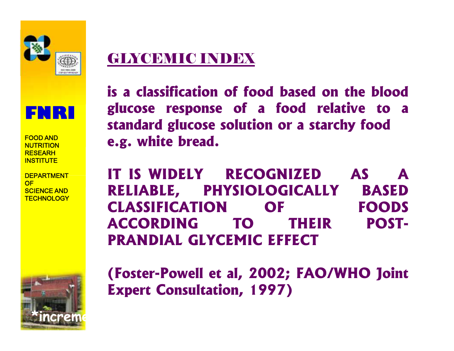

### GLYCEMIC INDEX



**FOOD AND NUTRITION RESEARH INSTITUTE**

**DEPARTMENT DEPARTMENT OF SCIENCE AND AND TECHNOLOGY TECHNOLOGY**



**is a classification of food based on the blood classificationof onblood glucose response of a food relative to a fooda standard glucose solution or a starchy food or e.g. white bread.**

**E.g. white bread.**<br>IT IS WIDELY RECOGNIZED AS A **RELIABLE, PHYSIOLOGICALLY BASED BASED CLASSIFICATION OF ACCORDING TO THEIR POST-ACCORDING PRANDIAL GLYCEMIC EFFECT PRANDIAL GLYCEMIC EFFECT FOODS**

**(Foster-Powell et al, 2002; FAO/WHO Joint Joint Expert Consultation, 1997)**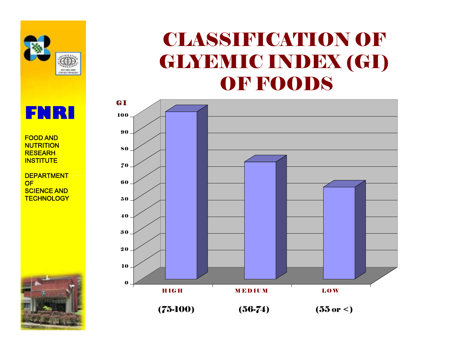

### CLASSIFICATION OF GLYEMIC INDEX (GI) OF FOODS





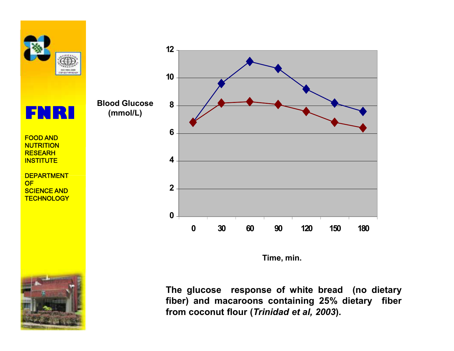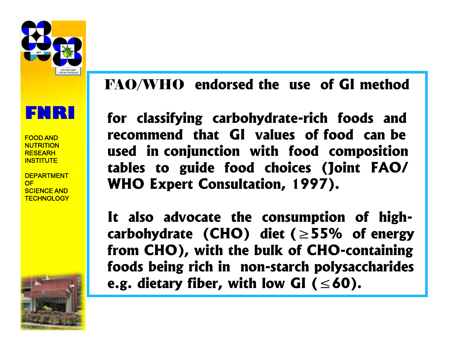![](_page_18_Picture_0.jpeg)

**FOOD AND NUTRITION RESEARH INSTITUTE**

**DEPARTMENT DEPARTMENT OF SCIENCE AND AND TECHNOLOGY TECHNOLOGY**

![](_page_18_Picture_4.jpeg)

### FAO/WHO **endorsed the use of GI method** FAO/WHO

**for classifying carbohydrate-rich foods and recommend that GI values of food can be used in conjunction with food composition of food composition tables to guide food choices (Joint FAO/ WHO Expert Consultation, 1997).**

**It also advocate the consumption of highcarbohydrate (CHO) diet (≥55% of energy from CHO), with the bulk of CHO-containing foods being rich in non-starch polysaccharides e.g. dietary fiber, with low GI (** $\leq 60$ **). choices (Joint)**<br> **choices (Dividing Dividing Divery Consultation, 1997).**<br> **choice is to diet (≥55% of**<br> **cho), with the bulk of CHO-cor<br>
<b>cho), with the bulk of CHO-cor**<br> **choice is being rich in non-starch polysace<br>
d**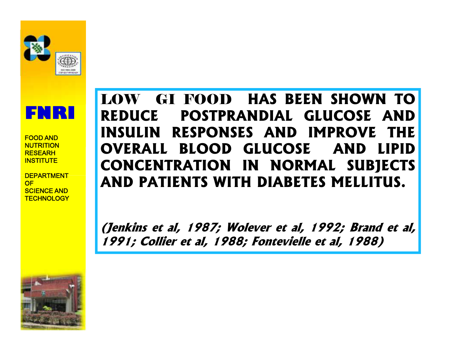![](_page_19_Picture_0.jpeg)

**FOOD AND NUTRITION RESEARH INSTITUTE**

**DEPARTMENT DEPARTMENT OF SCIENCE AND AND TECHNOLOGY TECHNOLOGY**

### LOW GI FOOD **HAS BEEN SHOWN TO REDUCE POSTPRANDIAL GLUCOSE AND INSULIN RESPONSES AND IMPROVE THE OVERALL BLOOD GLUCOSE AND LIPID** LOW GI FOOD HAS BEEN SHOWN TO<br>
REDUCE POSTPRANDIAL GLUCOSE AND<br>
INSULIN RESPONSES AND IMPROVE THE<br>
OVERALL BLOOD GLUCOSE AND LIPID<br>
CONCENTRATION IN NORMAL SUBJECTS **AND PATIENTS WITH DIABETES MELLITUS. PATIENTS**

*(Jenkins et al, 1987; Wolever et al, 1992; Brand et al,<br>1991: Collier et al. 1988: Fontevielle et al. 1988) 1991; Collier et al, 1988; Fontevielle et al, 1988)*

![](_page_19_Picture_6.jpeg)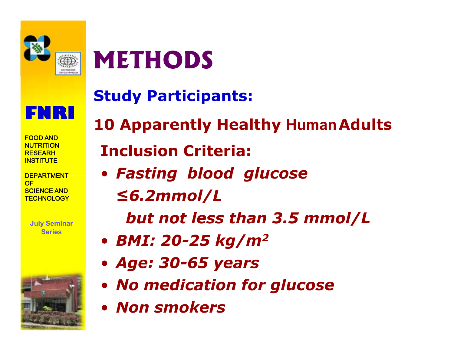![](_page_20_Picture_0.jpeg)

# **METHODS**

![](_page_20_Picture_2.jpeg)

**FOOD AND NUTRITION RESEARH INSTITUTE**

**DEPARTMENT DEPARTMENT OF SCIENCE AND AND TECHNOLOGY TECHNOLOGY**

> **July Seminar Series**

![](_page_20_Picture_6.jpeg)

**Study Participants:**

**10 Apparently Healthy HumanAdults Inclusion Criteria:**

- *Fasting blood glucose*
	- *≤6.2mmol/L ≤6.2mmol/L*

*but not less than 3.5 mmol/L*

- *BMI: 20-25 kg/m<sup>2</sup>*
- *Age: 30-65 years*
- *No medication for glucose but not less than 3.5 mm<br>BMI: 20-25 kg/m<sup>2</sup><br>Age: 30-65 years<br>No medication for glucose<br>Non smokers*
- *Non smokers*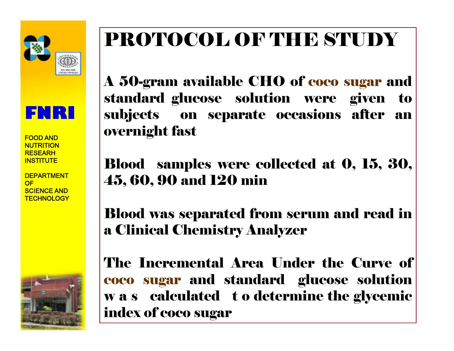![](_page_21_Picture_0.jpeg)

**FOOD AND NUTRITION RESEARH INSTITUTE**

**DEPARTMENT DEPARTMENT OF SCIENCE AND AND TECHNOLOGY TECHNOLOGY**

![](_page_21_Picture_4.jpeg)

# PROTOCOL OF THE STUDY

A 50-gram available CHO of coco sugar and standard glucose solution were given to subjects on separate occasions after an overnight fast A 50-gram available CHO of coco sugar and<br>standard glucose solution were given to<br>subjects on separate occasions after an<br>overnight fast

Blood samples were collected at 0, 15, 30, 45, 60, 90 and 120 min

Blood was separated from serum and read in a Clinical Chemistry Analyzer Clinical

The Incremental Area Under the Curve of coco sugar and standard glucose solution w a s calculated to determine the glycemic index of coco sugar Incremental Area Under the Curve of<br>
sugar and standard glucose solution<br>
calculated to determine the glycemic<br>
cof coco sugar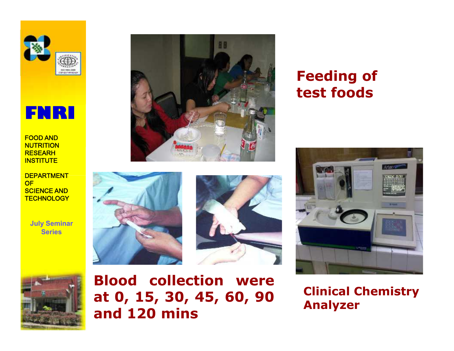![](_page_22_Picture_0.jpeg)

![](_page_22_Picture_1.jpeg)

**DEPARTMENT DEPARTMENT OF SCIENCE AND AND TECHNOLOGY TECHNOLOGY**

> **July Seminar Series**

![](_page_22_Picture_5.jpeg)

![](_page_22_Picture_6.jpeg)

![](_page_22_Picture_7.jpeg)

![](_page_22_Picture_8.jpeg)

**Blood collection were at 0, 15, 30, 45, 60, 90 and 120 mins**

**Clinical Chemistry Analyzer**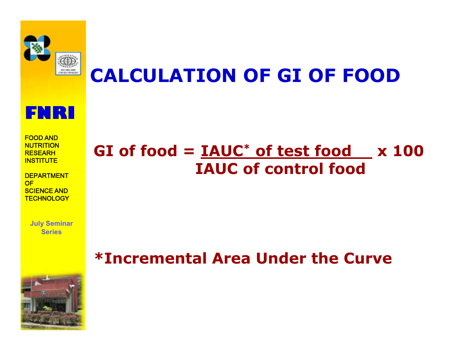![](_page_23_Picture_0.jpeg)

## **CALCULATION OF GI OF FOOD**

![](_page_23_Picture_2.jpeg)

**FOOD AND NUTRITION RESEARH INSTITUTE**

**DEPARTMENT DEPARTMENT OF SCIENCE AND AND TECHNOLOGY TECHNOLOGY**

> **July Seminar Series**

![](_page_23_Picture_6.jpeg)

### **\*Incremental Area Under the Curve**

![](_page_23_Picture_8.jpeg)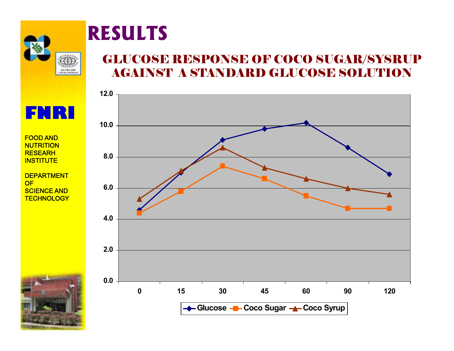![](_page_24_Picture_0.jpeg)

# **RESULTS**

#### GLUCOSE RESPONSE OF COCO SUGAR/SYSRUP AGAINST A STANDARD GLUCOSE SOLUTION

![](_page_24_Figure_3.jpeg)

**FNRI**

**FOOD AND NUTRITION RESEARH INSTITUTE**

![](_page_24_Picture_7.jpeg)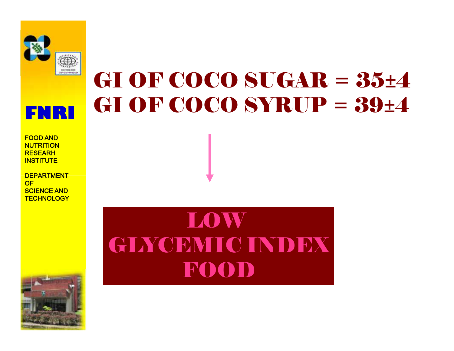![](_page_25_Picture_0.jpeg)

![](_page_25_Picture_1.jpeg)

**DEPARTMENT DEPARTMENT OF SCIENCE AND AND TECHNOLOGY TECHNOLOGY**

# GI OF COCO SUGAR = 35±4 GI OF COCO SYRUP = 39±4

LOW GINCEMIC INDEX FOOD

![](_page_25_Picture_6.jpeg)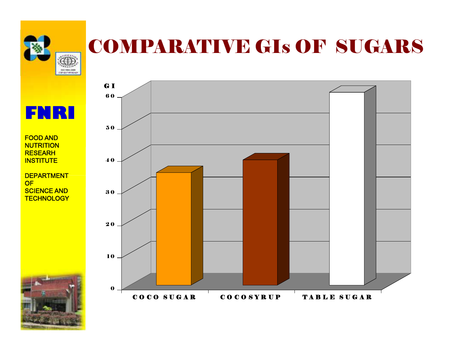![](_page_26_Picture_0.jpeg)

## COMPARATIVE GIs OF SUGARS

![](_page_26_Figure_2.jpeg)

#### **FOOD AND NUTRITION RESEARH INSTITUTE**

![](_page_26_Picture_5.jpeg)

![](_page_26_Figure_6.jpeg)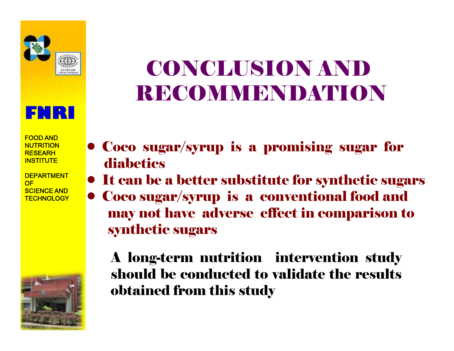![](_page_27_Picture_0.jpeg)

![](_page_27_Picture_1.jpeg)

**DEPARTMENT DEPARTMENT OF SCIENCE AND AND TECHNOLOGY TECHNOLOGY**

![](_page_27_Picture_4.jpeg)

# CONCLUSION AND **RECOMMENDATION**

- Coco sugar/syrup is a promising sugar for diabetics
- It can be a better substitute for synthetic sugars
- Coco sugar/syrup is a conventional food and may not have adverse effect in comparison to synthetic sugars It can be a better substitute for synthetic sug<br>Coco sugar/syrup is a conventional food and<br>may not have adverse effect in comparison<br>synthetic sugars<br>A long-term nutrition intervention study

should be conducted to validate the results obtained from this study